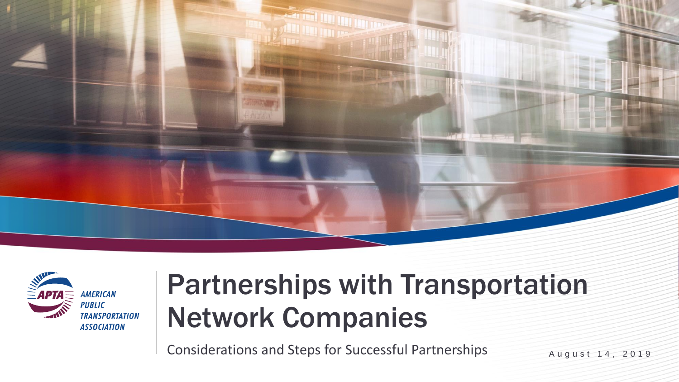



### Partnerships with Transportation Network Companies

Considerations and Steps for Successful Partnerships August 14, 2019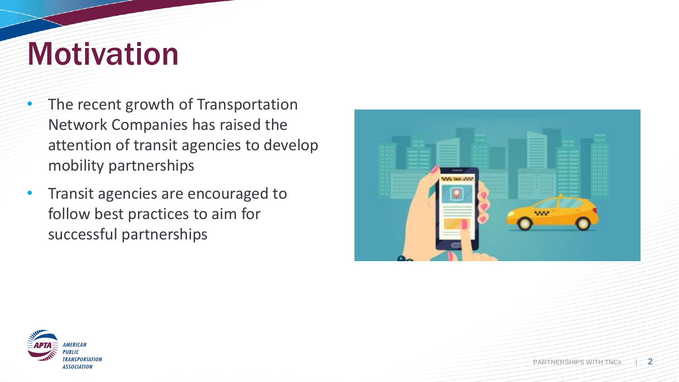## Motivation

- The recent growth of Transportation Network Companies has raised the attention of transit agencies to develop mobility partnerships
- Transit agencies are encouraged to follow best practices to aim for successful partnerships



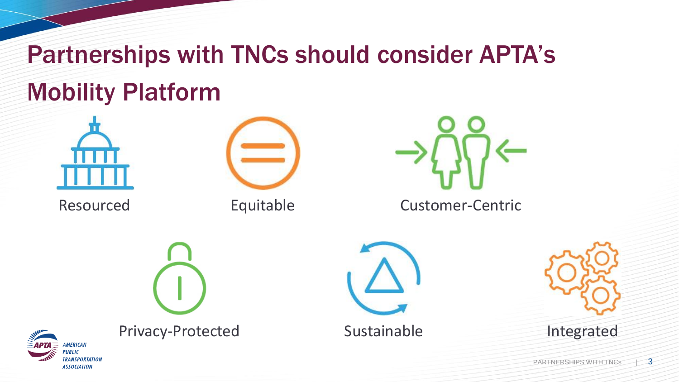### Partnerships with TNCs should consider APTA's Mobility Platform



Resourced



Equitable



Customer-Centric









Privacy-Protected

Sustainable

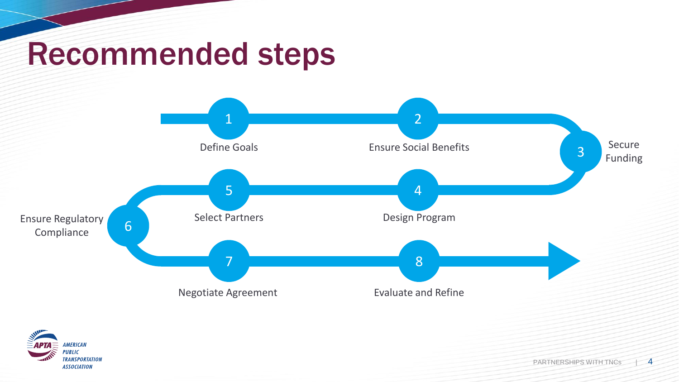## Recommended steps



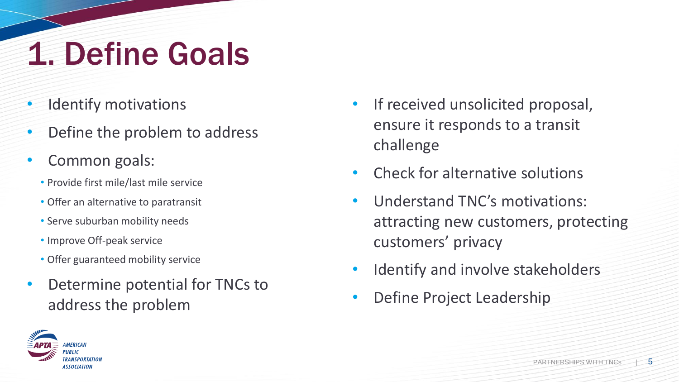# 1. Define Goals

- **Identify motivations**
- Define the problem to address
- Common goals:
	- Provide first mile/last mile service
	- Offer an alternative to paratransit
	- Serve suburban mobility needs
	- Improve Off-peak service
	- Offer guaranteed mobility service
- Determine potential for TNCs to address the problem
- If received unsolicited proposal, ensure it responds to a transit challenge
- Check for alternative solutions
- Understand TNC's motivations: attracting new customers, protecting customers' privacy
- Identify and involve stakeholders
- Define Project Leadership

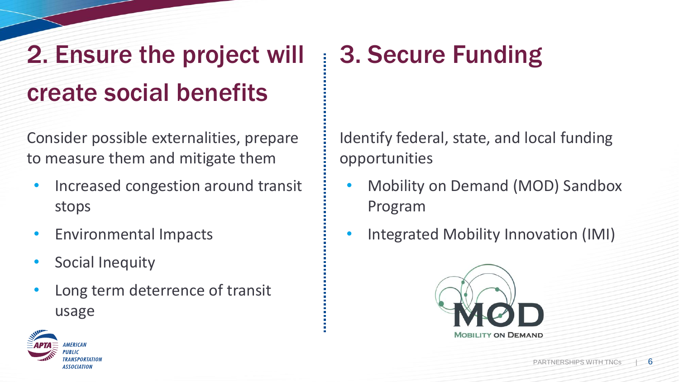### 2. Ensure the project will create social benefits

Consider possible externalities, prepare to measure them and mitigate them

- Increased congestion around transit stops
- Environmental Impacts
- Social Inequity
- Long term deterrence of transit usage

### 3. Secure Funding

Identify federal, state, and local funding opportunities

- Mobility on Demand (MOD) Sandbox Program
- Integrated Mobility Innovation (IMI)



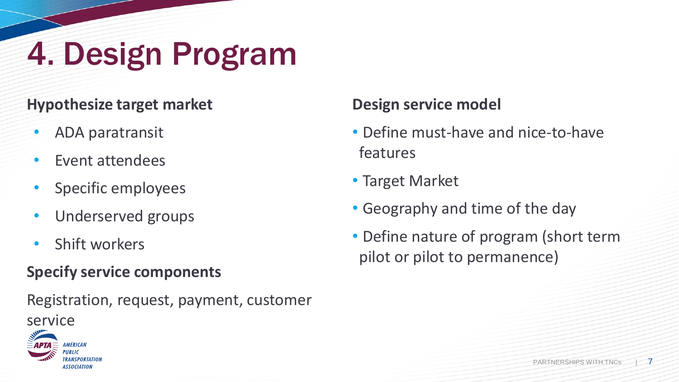# 4. Design Program

### **Hypothesize target market**

- ADA paratransit
- Event attendees
- Specific employees
- Underserved groups
- Shift workers

#### **Specify service components**

Registration, request, payment, customer service



#### **Design service model**

- Define must-have and nice-to-have features
- Target Market
- Geography and time of the day
- Define nature of program (short term pilot or pilot to permanence)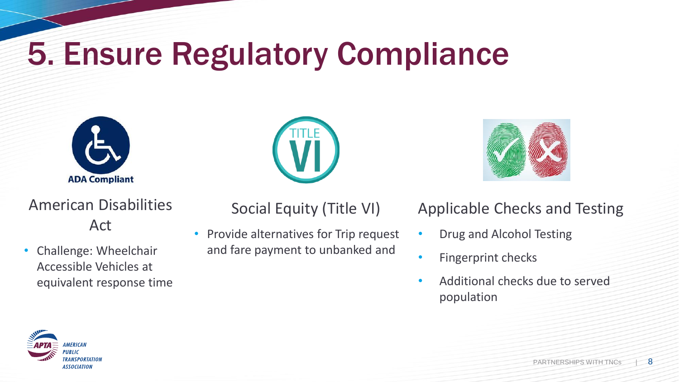# 5. Ensure Regulatory Compliance



### American Disabilities Act

• Challenge: Wheelchair Accessible Vehicles at equivalent response time





### Social Equity (Title VI)

• Provide alternatives for Trip request and fare payment to unbanked and

#### Applicable Checks and Testing

- Drug and Alcohol Testing
- Fingerprint checks
- Additional checks due to served population

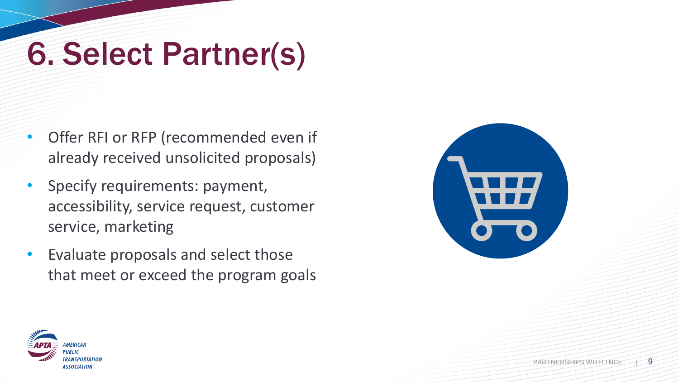## 6. Select Partner(s)

- Offer RFI or RFP (recommended even if already received unsolicited proposals)
- Specify requirements: payment, accessibility, service request, customer service, marketing
- Evaluate proposals and select those that meet or exceed the program goals



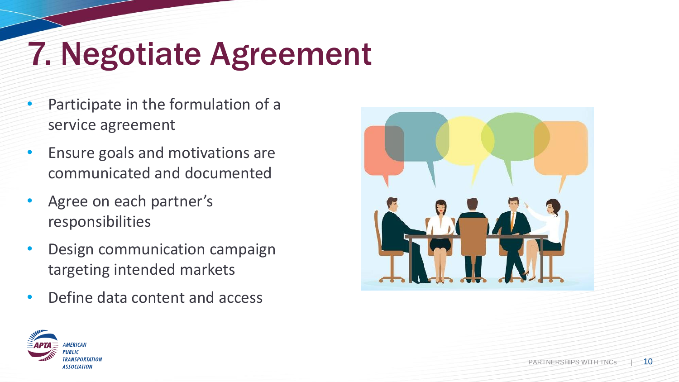# 7. Negotiate Agreement

- Participate in the formulation of a service agreement
- Ensure goals and motivations are communicated and documented
- Agree on each partner's responsibilities
- Design communication campaign targeting intended markets
- Define data content and access



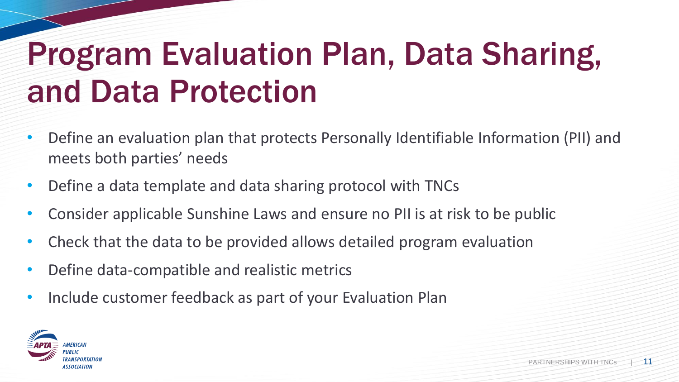# Program Evaluation Plan, Data Sharing, and Data Protection

- Define an evaluation plan that protects Personally Identifiable Information (PII) and meets both parties' needs
- Define a data template and data sharing protocol with TNCs
- Consider applicable Sunshine Laws and ensure no PII is at risk to be public
- Check that the data to be provided allows detailed program evaluation
- Define data-compatible and realistic metrics
- Include customer feedback as part of your Evaluation Plan

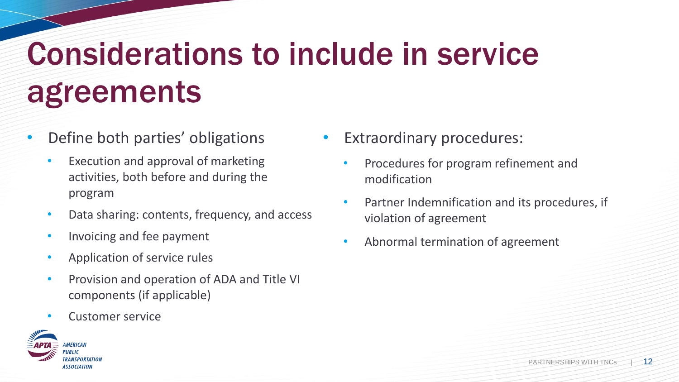# Considerations to include in service agreements

- Define both parties' obligations
	- Execution and approval of marketing activities, both before and during the program
	- Data sharing: contents, frequency, and access
	- Invoicing and fee payment
	- Application of service rules
	- Provision and operation of ADA and Title VI components (if applicable)
	- Customer service



- **Extraordinary procedures:** 
	- Procedures for program refinement and modification
	- Partner Indemnification and its procedures, if violation of agreement
	- Abnormal termination of agreement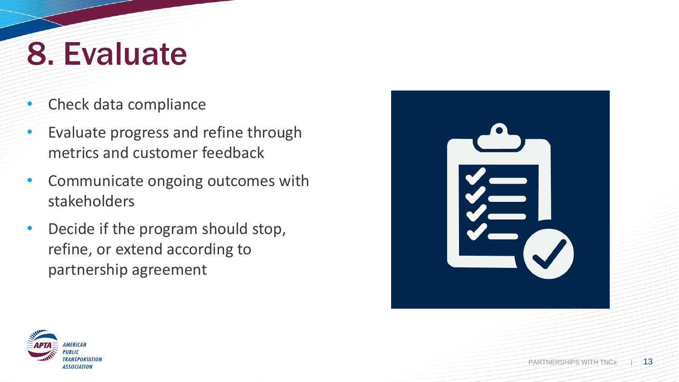## 8. Evaluate

- Check data compliance
- Evaluate progress and refine through metrics and customer feedback
- Communicate ongoing outcomes with stakeholders
- Decide if the program should stop, refine, or extend according to partnership agreement